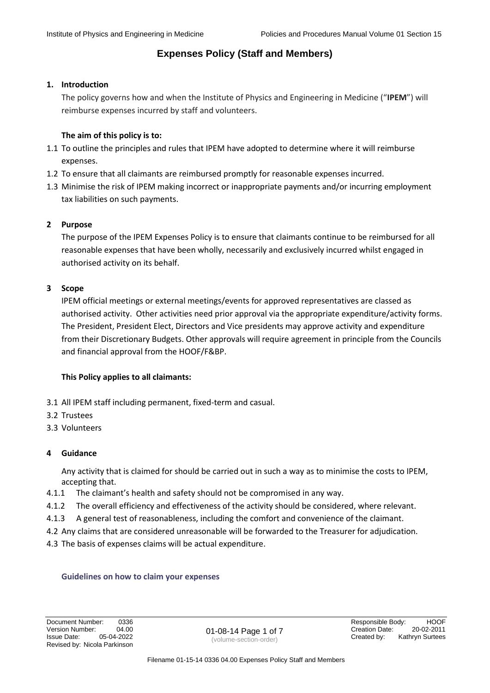### **1. Introduction**

The policy governs how and when the Institute of Physics and Engineering in Medicine ("**IPEM**") will reimburse expenses incurred by staff and volunteers.

### **The aim of this policy is to:**

- 1.1 To outline the principles and rules that IPEM have adopted to determine where it will reimburse expenses.
- 1.2 To ensure that all claimants are reimbursed promptly for reasonable expenses incurred.
- 1.3 Minimise the risk of IPEM making incorrect or inappropriate payments and/or incurring employment tax liabilities on such payments.

### **2 Purpose**

The purpose of the IPEM Expenses Policy is to ensure that claimants continue to be reimbursed for all reasonable expenses that have been wholly, necessarily and exclusively incurred whilst engaged in authorised activity on its behalf.

### **3 Scope**

IPEM official meetings or external meetings/events for approved representatives are classed as authorised activity. Other activities need prior approval via the appropriate expenditure/activity forms. The President, President Elect, Directors and Vice presidents may approve activity and expenditure from their Discretionary Budgets. Other approvals will require agreement in principle from the Councils and financial approval from the HOOF/F&BP.

### **This Policy applies to all claimants:**

- 3.1 All IPEM staff including permanent, fixed-term and casual.
- 3.2 Trustees
- 3.3 Volunteers

### **4 Guidance**

Any activity that is claimed for should be carried out in such a way as to minimise the costs to IPEM, accepting that.

- 4.1.1 The claimant's health and safety should not be compromised in any way.
- 4.1.2 The overall efficiency and effectiveness of the activity should be considered, where relevant.
- 4.1.3 A general test of reasonableness, including the comfort and convenience of the claimant.
- 4.2 Any claims that are considered unreasonable will be forwarded to the Treasurer for adjudication.
- 4.3 The basis of expenses claims will be actual expenditure.

### **Guidelines on how to claim your expenses**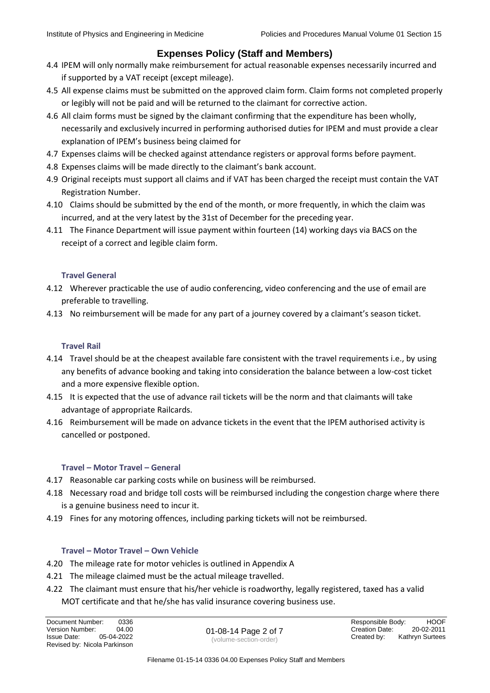- 4.4 IPEM will only normally make reimbursement for actual reasonable expenses necessarily incurred and if supported by a VAT receipt (except mileage).
- 4.5 All expense claims must be submitted on the approved claim form. Claim forms not completed properly or legibly will not be paid and will be returned to the claimant for corrective action.
- 4.6 All claim forms must be signed by the claimant confirming that the expenditure has been wholly, necessarily and exclusively incurred in performing authorised duties for IPEM and must provide a clear explanation of IPEM's business being claimed for
- 4.7 Expenses claims will be checked against attendance registers or approval forms before payment.
- 4.8 Expenses claims will be made directly to the claimant's bank account.
- 4.9 Original receipts must support all claims and if VAT has been charged the receipt must contain the VAT Registration Number.
- 4.10 Claims should be submitted by the end of the month, or more frequently, in which the claim was incurred, and at the very latest by the 31st of December for the preceding year.
- 4.11 The Finance Department will issue payment within fourteen (14) working days via BACS on the receipt of a correct and legible claim form.

### **Travel General**

- 4.12 Wherever practicable the use of audio conferencing, video conferencing and the use of email are preferable to travelling.
- 4.13 No reimbursement will be made for any part of a journey covered by a claimant's season ticket.

### **Travel Rail**

- 4.14 Travel should be at the cheapest available fare consistent with the travel requirements i.e., by using any benefits of advance booking and taking into consideration the balance between a low-cost ticket and a more expensive flexible option.
- 4.15 It is expected that the use of advance rail tickets will be the norm and that claimants will take advantage of appropriate Railcards.
- 4.16 Reimbursement will be made on advance tickets in the event that the IPEM authorised activity is cancelled or postponed.

### **Travel – Motor Travel – General**

- 4.17 Reasonable car parking costs while on business will be reimbursed.
- 4.18 Necessary road and bridge toll costs will be reimbursed including the congestion charge where there is a genuine business need to incur it.
- 4.19 Fines for any motoring offences, including parking tickets will not be reimbursed.

### **Travel – Motor Travel – Own Vehicle**

- 4.20 The mileage rate for motor vehicles is outlined in Appendix A
- 4.21 The mileage claimed must be the actual mileage travelled.
- 4.22 The claimant must ensure that his/her vehicle is roadworthy, legally registered, taxed has a valid MOT certificate and that he/she has valid insurance covering business use.

(volume-section-order)

Document Number: 0336 8001 01-08-14 Page 2 of 7 Responsible Body: HOOF Version Number: 04.00 88 889001 01-08-14 Page 2 of 7 Responsible Body: HOOF Version Number: 04.00 01-08-14 Page 2 of 7 Creation Date: 20-02-2011 Issue Date: 05-04-2022 Created by: Kathryn Surtees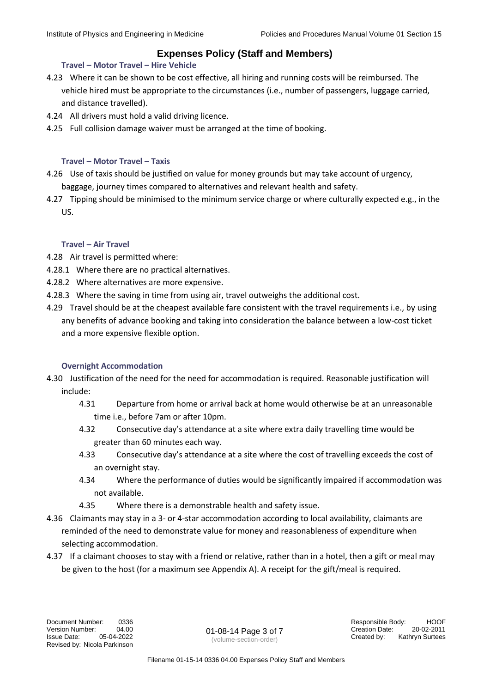### **Travel – Motor Travel – Hire Vehicle**

- 4.23 Where it can be shown to be cost effective, all hiring and running costs will be reimbursed. The vehicle hired must be appropriate to the circumstances (i.e., number of passengers, luggage carried, and distance travelled).
- 4.24 All drivers must hold a valid driving licence.
- 4.25 Full collision damage waiver must be arranged at the time of booking.

### **Travel – Motor Travel – Taxis**

- 4.26 Use of taxis should be justified on value for money grounds but may take account of urgency, baggage, journey times compared to alternatives and relevant health and safety.
- 4.27 Tipping should be minimised to the minimum service charge or where culturally expected e.g., in the US.

### **Travel – Air Travel**

- 4.28 Air travel is permitted where:
- 4.28.1 Where there are no practical alternatives.
- 4.28.2 Where alternatives are more expensive.
- 4.28.3 Where the saving in time from using air, travel outweighs the additional cost.
- 4.29 Travel should be at the cheapest available fare consistent with the travel requirements i.e., by using any benefits of advance booking and taking into consideration the balance between a low-cost ticket and a more expensive flexible option.

### **Overnight Accommodation**

- 4.30 Justification of the need for the need for accommodation is required. Reasonable justification will include:
	- 4.31 Departure from home or arrival back at home would otherwise be at an unreasonable time i.e., before 7am or after 10pm.
	- 4.32 Consecutive day's attendance at a site where extra daily travelling time would be greater than 60 minutes each way.
	- 4.33 Consecutive day's attendance at a site where the cost of travelling exceeds the cost of an overnight stay.
	- 4.34 Where the performance of duties would be significantly impaired if accommodation was not available.
	- 4.35 Where there is a demonstrable health and safety issue.
- 4.36 Claimants may stay in a 3- or 4-star accommodation according to local availability, claimants are reminded of the need to demonstrate value for money and reasonableness of expenditure when selecting accommodation.
- 4.37 If a claimant chooses to stay with a friend or relative, rather than in a hotel, then a gift or meal may be given to the host (for a maximum see Appendix A). A receipt for the gift/meal is required.

(volume-section-order)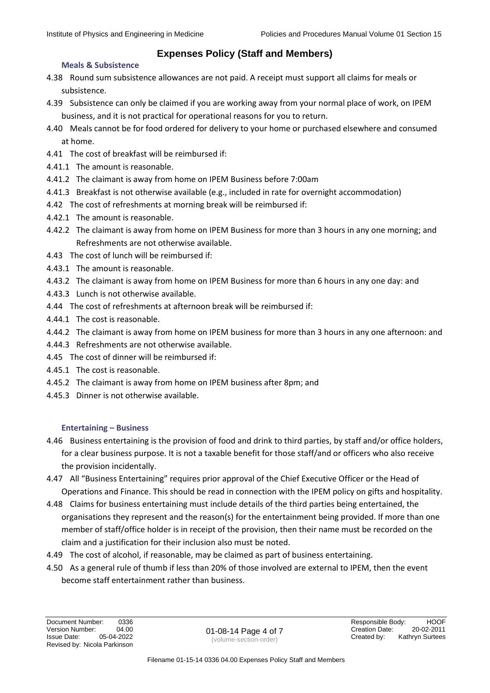### **Meals & Subsistence**

- 4.38 Round sum subsistence allowances are not paid. A receipt must support all claims for meals or subsistence.
- 4.39 Subsistence can only be claimed if you are working away from your normal place of work, on IPEM business, and it is not practical for operational reasons for you to return.
- 4.40 Meals cannot be for food ordered for delivery to your home or purchased elsewhere and consumed at home.
- 4.41 The cost of breakfast will be reimbursed if:
- 4.41.1 The amount is reasonable.
- 4.41.2 The claimant is away from home on IPEM Business before 7:00am
- 4.41.3 Breakfast is not otherwise available (e.g., included in rate for overnight accommodation)
- 4.42 The cost of refreshments at morning break will be reimbursed if:
- 4.42.1 The amount is reasonable.
- 4.42.2 The claimant is away from home on IPEM Business for more than 3 hours in any one morning; and Refreshments are not otherwise available.
- 4.43 The cost of lunch will be reimbursed if:
- 4.43.1 The amount is reasonable.
- 4.43.2 The claimant is away from home on IPEM Business for more than 6 hours in any one day: and
- 4.43.3 Lunch is not otherwise available.
- 4.44 The cost of refreshments at afternoon break will be reimbursed if:
- 4.44.1 The cost is reasonable.
- 4.44.2 The claimant is away from home on IPEM business for more than 3 hours in any one afternoon: and
- 4.44.3 Refreshments are not otherwise available.
- 4.45 The cost of dinner will be reimbursed if:
- 4.45.1 The cost is reasonable.
- 4.45.2 The claimant is away from home on IPEM business after 8pm; and
- 4.45.3 Dinner is not otherwise available.

### **Entertaining – Business**

- 4.46 Business entertaining is the provision of food and drink to third parties, by staff and/or office holders, for a clear business purpose. It is not a taxable benefit for those staff/and or officers who also receive the provision incidentally.
- 4.47 All "Business Entertaining" requires prior approval of the Chief Executive Officer or the Head of Operations and Finance. This should be read in connection with the IPEM policy on gifts and hospitality.
- 4.48 Claims for business entertaining must include details of the third parties being entertained, the organisations they represent and the reason(s) for the entertainment being provided. If more than one member of staff/office holder is in receipt of the provision, then their name must be recorded on the claim and a justification for their inclusion also must be noted.
- 4.49 The cost of alcohol, if reasonable, may be claimed as part of business entertaining.
- 4.50 As a general rule of thumb if less than 20% of those involved are external to IPEM, then the event become staff entertainment rather than business.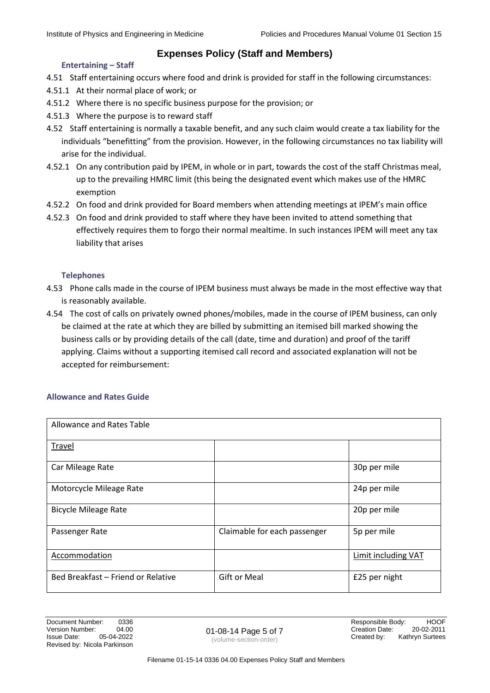### **Entertaining – Staff**

- 4.51 Staff entertaining occurs where food and drink is provided for staff in the following circumstances:
- 4.51.1 At their normal place of work; or
- 4.51.2 Where there is no specific business purpose for the provision; or
- 4.51.3 Where the purpose is to reward staff
- 4.52 Staff entertaining is normally a taxable benefit, and any such claim would create a tax liability for the individuals "benefitting" from the provision. However, in the following circumstances no tax liability will arise for the individual.
- 4.52.1 On any contribution paid by IPEM, in whole or in part, towards the cost of the staff Christmas meal, up to the prevailing HMRC limit (this being the designated event which makes use of the HMRC exemption
- 4.52.2 On food and drink provided for Board members when attending meetings at IPEM's main office
- 4.52.3 On food and drink provided to staff where they have been invited to attend something that effectively requires them to forgo their normal mealtime. In such instances IPEM will meet any tax liability that arises

### **Telephones**

- 4.53 Phone calls made in the course of IPEM business must always be made in the most effective way that is reasonably available.
- 4.54 The cost of calls on privately owned phones/mobiles, made in the course of IPEM business, can only be claimed at the rate at which they are billed by submitting an itemised bill marked showing the business calls or by providing details of the call (date, time and duration) and proof of the tariff applying. Claims without a supporting itemised call record and associated explanation will not be accepted for reimbursement:

### **Allowance and Rates Guide**

| Allowance and Rates Table          |                              |                            |
|------------------------------------|------------------------------|----------------------------|
| Travel                             |                              |                            |
| Car Mileage Rate                   |                              | 30p per mile               |
| Motorcycle Mileage Rate            |                              | 24p per mile               |
| <b>Bicycle Mileage Rate</b>        |                              | 20p per mile               |
| Passenger Rate                     | Claimable for each passenger | 5p per mile                |
| Accommodation                      |                              | <b>Limit including VAT</b> |
| Bed Breakfast - Friend or Relative | <b>Gift or Meal</b>          | £25 per night              |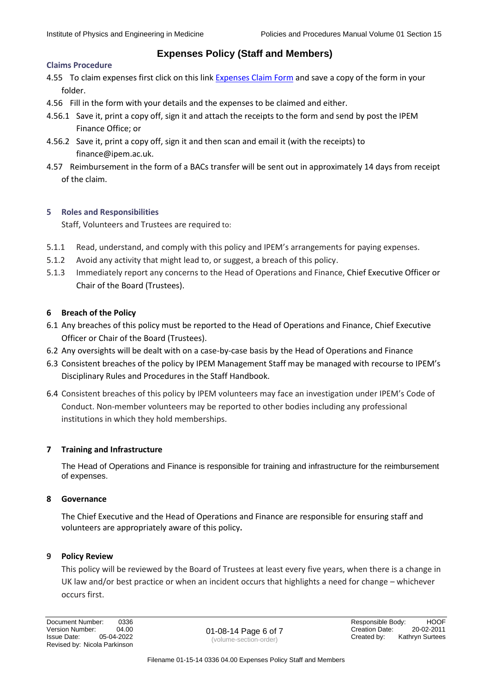#### **Claims Procedure**

- 4.55 To claim expenses first click on this link [Expenses Claim Form](file://///ipem-data/share$/Policy%20and%20Procedure%20Manual/Volume%203%20-%20Put%20Into%20Practice%20Documents/Section%2015%20-%20Finance/03-15-08%200290%2003.00%20IPEM%20Expenses%20Claim%20form%20WORD%20version%2022-05-2018.docx) and save a copy of the form in your folder.
- 4.56 Fill in the form with your details and the expenses to be claimed and either.
- 4.56.1 Save it, print a copy off, sign it and attach the receipts to the form and send by post the IPEM Finance Office; or
- 4.56.2 Save it, print a copy off, sign it and then scan and email it (with the receipts) to finance@ipem.ac.uk.
- 4.57 Reimbursement in the form of a BACs transfer will be sent out in approximately 14 days from receipt of the claim.

### **5 Roles and Responsibilities**

Staff, Volunteers and Trustees are required to:

- 5.1.1 Read, understand, and comply with this policy and IPEM's arrangements for paying expenses.
- 5.1.2 Avoid any activity that might lead to, or suggest, a breach of this policy.
- 5.1.3 Immediately report any concerns to the Head of Operations and Finance, Chief Executive Officer or Chair of the Board (Trustees).

### **6 Breach of the Policy**

- 6.1 Any breaches of this policy must be reported to the Head of Operations and Finance, Chief Executive Officer or Chair of the Board (Trustees).
- 6.2 Any oversights will be dealt with on a case-by-case basis by the Head of Operations and Finance
- 6.3 Consistent breaches of the policy by IPEM Management Staff may be managed with recourse to IPEM's Disciplinary Rules and Procedures in the Staff Handbook.
- 6.4 Consistent breaches of this policy by IPEM volunteers may face an investigation under IPEM's Code of Conduct. Non-member volunteers may be reported to other bodies including any professional institutions in which they hold memberships.

### **7 Training and Infrastructure**

The Head of Operations and Finance is responsible for training and infrastructure for the reimbursement of expenses.

### **8 Governance**

The Chief Executive and the Head of Operations and Finance are responsible for ensuring staff and volunteers are appropriately aware of this policy**.**

### **9 Policy Review**

This policy will be reviewed by the Board of Trustees at least every five years, when there is a change in UK law and/or best practice or when an incident occurs that highlights a need for change – whichever occurs first.

Issue Date: 05-04-2022 (volume-section-order) Created by: Kathryn Surtees Revised by: Nicola Parkinson

Document Number: 0336 86 and 0336 Responsible Body: HOOF Version Number: 04.00 01-08-14 Page 6 of 7 Creation Date: 20-02-2011